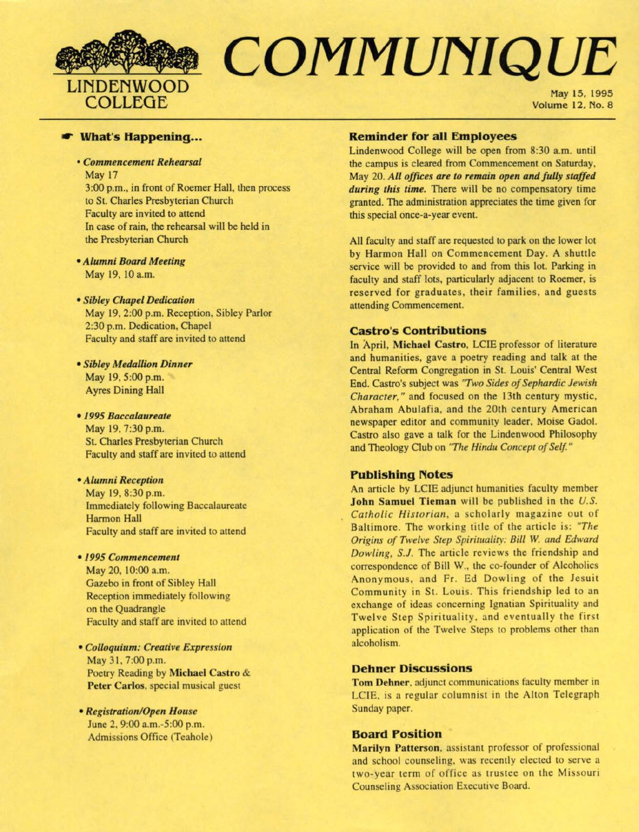

# **EXAMPLE COMMUNIQUE**

May 15, 1995

### ,... **What's Happening ...**

• *Commencement Rehearsal*  May 17

3:00 p.m., in front of Roemer Hall, then process to St. Charles Presbyterian Church Faculty are invited to attend ln case of rain, the rehearsal will be held in the Presbyterian Church

- *Alumni Board Meeting*  May 19, IO a.m.
- *Sibley Chapel Dedication*  May 19, 2:00 p.m. Reception. Sibley Parlor 2:30 p.m. Dedication, Chapel Faculty and staff are invited to attend
- *Sibley Medallion Dinner*  May 19. 5:00 p.m. Ayres Dining Hall
- *1995 Baccalaureate*  May 19. 7:30 p.m. St. Charles Presbyterian Church Faculty and staff are invited to attend
- *• Alumni Reception*  May 19. 8:30 p.m. Immediately following Baccalaureate Harmon Hall Faculty and staff are invited to attend

#### • */ 995 Commencement*

May 20. 10:00 a.m. Gazebo in front of Sibley Hall Reception immediately following on the Quadrangle Faculty and staff are invited to attend

- *Colloquir,m: Creative Expression*  May 31. 7:00 p.m. Poetry Reading by Michael Castro & Peter Carlos, special musical guest
- *Registration/Open House*  June 2. 9:00 a.m.-5:00 p.m. Admissions Office (Teahole)

# **Reminder for all Employees**

Lindenwood College will be open from 8:30 a.m. until the campus is cleared from Commencement on Saturday. May 20. All offices are to remain open and fully staffed *during this time.* There will be no compensatory time granted. The administration appreciates the time given for this special once-a-year event.

All faculty and staff are requested to park on the lower lot by Harmon Hall on Commencement Day. A shuttle service will be provided to and from this lot. Parking in faculty and staff lots, particularly adjacent to Roemer, is reserved for graduates, their families, and guests attending Commencement.

# **castro's Contributions**

In April, **Michael Castro,** LCIE professor of literature and humanities, gave a poetry reading and talk at the Central Reform Congregation in St. Louis' Central West End. Castro's subject was *'T wo Sides of Sephardic Jewish Character,"* and focused on the 13th century mystic. Abraham Abulafia, and the 20th century American newspaper editor and commumty leader, Moise Gadol. Castro also gave a talk for the Lindenwood Philosophy and Theology Club on *'The Hindu Concept of Self"* 

# **Publishing Notes**

An article by LCIE adjunct humanities faculty member **John Samuel Tieman** will be published in the U.S. Catholic Historian, a scholarly magazine out of Baltimore. The working title of the article 1s: *"The Origins of Twelve Step Spirituality: Bill W. and Edward Dowling, S.J.* The article reviews the friendship and correspondence of Bill W., the co-founder of Alcoholics Anonymous, and Fr. Ed Dowling of the Jesuit Community in St. Louis. This friendship led to an exchange of ideas concerning Ignatian Spirituality and Twelve Step Spirituality, and eventually the first application of the Twelve Steps to problems other than alcoholism.

#### **Dehner Discussions**

Tom Dehner, adjunct communications faculty member in LCIE, is a regular columnist in the Alton Telegraph Sunday paper.

# **Board Position**

Marilyn Patterson. assistant professor of professional and school counseling. was recently elected to serve a two-year term of office as trustee on the Missouri Counseling Association Executive Board.